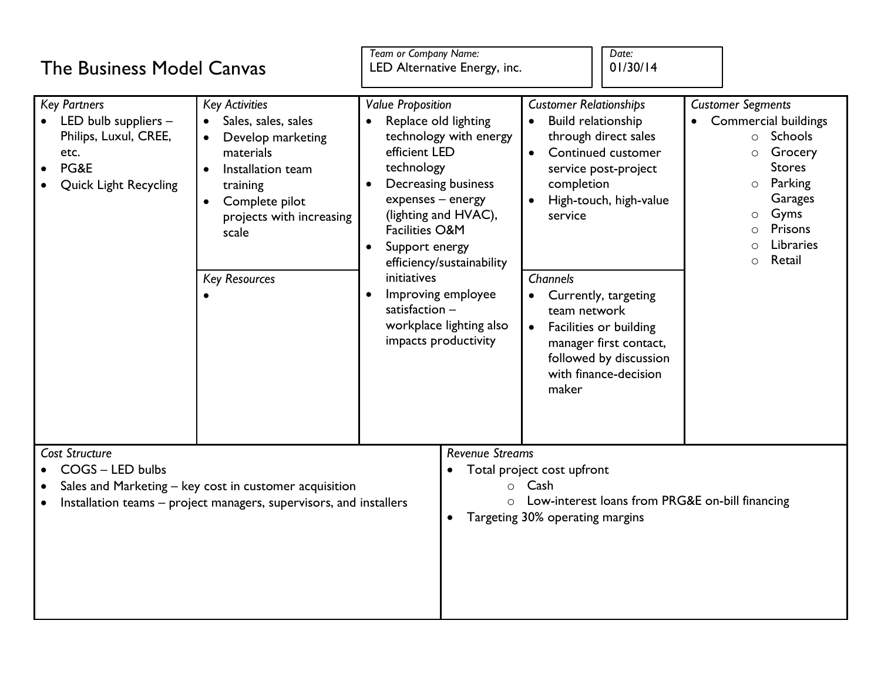| <b>The Business Model Canvas</b>                                                                                                                                   |                                                                                                                                                                                                                          | Team or Company Name:<br>LED Alternative Energy, inc.                                                                                                                                                                                                                                                                                                                                                        |                                                                                                                                                                          |                                                                                                                                       | Date:<br>01/30/14                                                                                                                                                                                                           |                                                                                                                                                                                                                       |  |
|--------------------------------------------------------------------------------------------------------------------------------------------------------------------|--------------------------------------------------------------------------------------------------------------------------------------------------------------------------------------------------------------------------|--------------------------------------------------------------------------------------------------------------------------------------------------------------------------------------------------------------------------------------------------------------------------------------------------------------------------------------------------------------------------------------------------------------|--------------------------------------------------------------------------------------------------------------------------------------------------------------------------|---------------------------------------------------------------------------------------------------------------------------------------|-----------------------------------------------------------------------------------------------------------------------------------------------------------------------------------------------------------------------------|-----------------------------------------------------------------------------------------------------------------------------------------------------------------------------------------------------------------------|--|
| <b>Key Partners</b><br>LED bulb suppliers -<br>Philips, Luxul, CREE,<br>etc.<br>PG&E<br><b>Quick Light Recycling</b>                                               | <b>Key Activities</b><br>Sales, sales, sales<br>Develop marketing<br>materials<br>Installation team<br>$\bullet$<br>training<br>Complete pilot<br>$\bullet$<br>projects with increasing<br>scale<br><b>Key Resources</b> | <b>Value Proposition</b><br>Replace old lighting<br>technology with energy<br>efficient LED<br>technology<br>Decreasing business<br>$\bullet$<br>expenses - energy<br>(lighting and HVAC),<br><b>Facilities O&amp;M</b><br>Support energy<br>$\bullet$<br>efficiency/sustainability<br>initiatives<br>Improving employee<br>$\bullet$<br>satisfaction $-$<br>workplace lighting also<br>impacts productivity |                                                                                                                                                                          | <b>Customer Relationships</b><br><b>Build relationship</b><br>$\bullet$<br>completion<br>service<br>Channels<br>team network<br>maker | through direct sales<br>Continued customer<br>service post-project<br>High-touch, high-value<br>Currently, targeting<br>Facilities or building<br>manager first contact,<br>followed by discussion<br>with finance-decision | <b>Customer Segments</b><br><b>Commercial buildings</b><br>Schools<br>$\circ$<br>Grocery<br>$\circ$<br><b>Stores</b><br>Parking<br>$\circ$<br>Garages<br>Gyms<br>$\circ$<br>Prisons<br>Libraries<br>Retail<br>$\circ$ |  |
| Cost Structure<br>COGS - LED bulbs<br>Sales and Marketing - key cost in customer acquisition<br>Installation teams – project managers, supervisors, and installers |                                                                                                                                                                                                                          |                                                                                                                                                                                                                                                                                                                                                                                                              | <b>Revenue Streams</b><br>Total project cost upfront<br>Cash<br>$\circ$<br>Low-interest loans from PRG&E on-bill financing<br>$\circ$<br>Targeting 30% operating margins |                                                                                                                                       |                                                                                                                                                                                                                             |                                                                                                                                                                                                                       |  |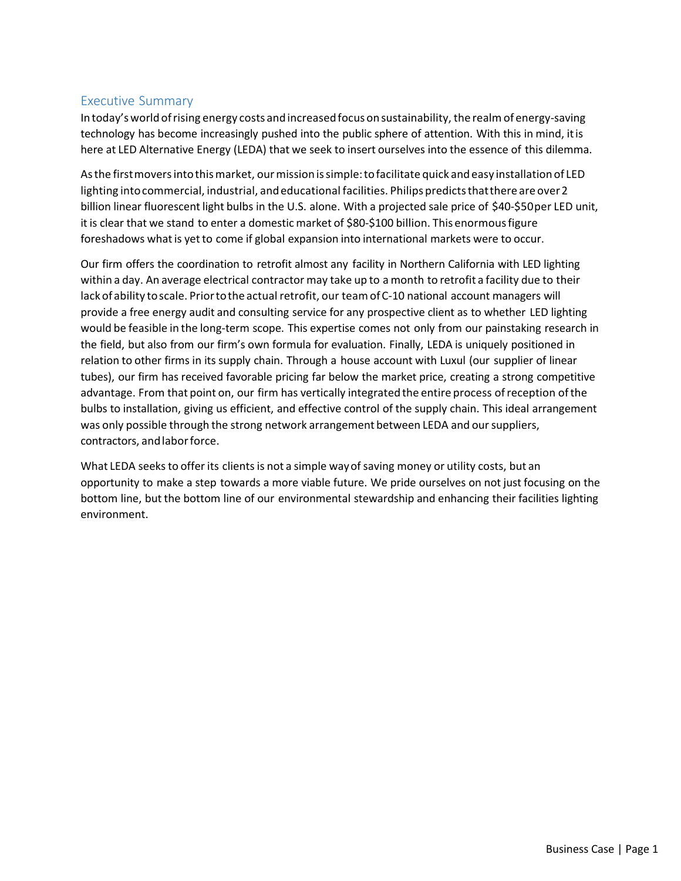# Executive Summary

Intoday'sworldofrising energy costs andincreasedfocus onsustainability, the realmof energy-saving technology has become increasingly pushed into the public sphere of attention. With this in mind, itis here at LED Alternative Energy (LEDA) that we seek to insert ourselves into the essence of this dilemma.

As the first movers into this market, our mission is simple: to facilitate quick and easy installation of LED lighting into commercial, industrial, and educational facilities. Philips predicts that there are over 2 billion linear fluorescent light bulbs in the U.S. alone. With a projected sale price of \$40-\$50per LED unit, it is clear that we stand to enter a domestic market of \$80-\$100 billion. This enormousfigure foreshadows what is yet to come if global expansion into international markets were to occur.

Our firm offers the coordination to retrofit almost any facility in Northern California with LED lighting within a day. An average electrical contractor may take up to a month to retrofit a facility due to their lack of ability to scale. Prior to the actual retrofit, our team of C-10 national account managers will provide a free energy audit and consulting service for any prospective client as to whether LED lighting would be feasible in the long-term scope. This expertise comes not only from our painstaking research in the field, but also from our firm's own formula for evaluation. Finally, LEDA is uniquely positioned in relation to other firms in its supply chain. Through a house account with Luxul (our supplier of linear tubes), our firm has received favorable pricing far below the market price, creating a strong competitive advantage. From that point on, our firm has vertically integrated the entire process ofreception ofthe bulbs to installation, giving us efficient, and effective control of the supply chain. This ideal arrangement was only possible through the strong network arrangement between LEDA and oursuppliers, contractors, andlaborforce.

What LEDA seeks to offer its clients is not a simple way of saving money or utility costs, but an opportunity to make a step towards a more viable future. We pride ourselves on not just focusing on the bottom line, but the bottom line of our environmental stewardship and enhancing their facilities lighting environment.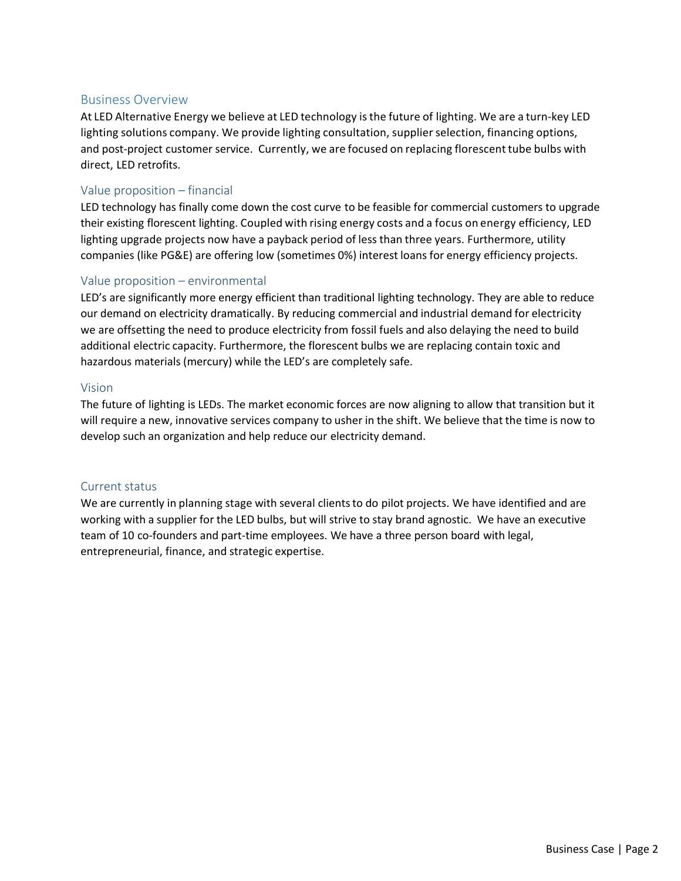#### Business Overview

At LED Alternative Energy we believe at LED technology isthe future of lighting. We are a turn-key LED lighting solutions company. We provide lighting consultation, supplier selection, financing options, and post-project customer service. Currently, we are focused on replacing florescent tube bulbs with direct, LED retrofits.

## Value proposition – financial

LED technology has finally come down the cost curve to be feasible for commercial customers to upgrade their existing florescent lighting. Coupled with rising energy costs and a focus on energy efficiency, LED lighting upgrade projects now have a payback period of less than three years. Furthermore, utility companies (like PG&E) are offering low (sometimes 0%) interest loans for energy efficiency projects.

#### Value proposition – environmental

LED's are significantly more energy efficient than traditional lighting technology. They are able to reduce our demand on electricity dramatically. By reducing commercial and industrial demand for electricity we are offsetting the need to produce electricity from fossil fuels and also delaying the need to build additional electric capacity. Furthermore, the florescent bulbs we are replacing contain toxic and hazardous materials (mercury) while the LED's are completely safe.

#### Vision

The future of lighting is LEDs. The market economic forces are now aligning to allow that transition but it will require a new, innovative services company to usher in the shift. We believe that the time is now to develop such an organization and help reduce our electricity demand.

#### Current status

We are currently in planning stage with several clients to do pilot projects. We have identified and are working with a supplier for the LED bulbs, but will strive to stay brand agnostic. We have an executive team of 10 co-founders and part-time employees. We have a three person board with legal, entrepreneurial, finance, and strategic expertise.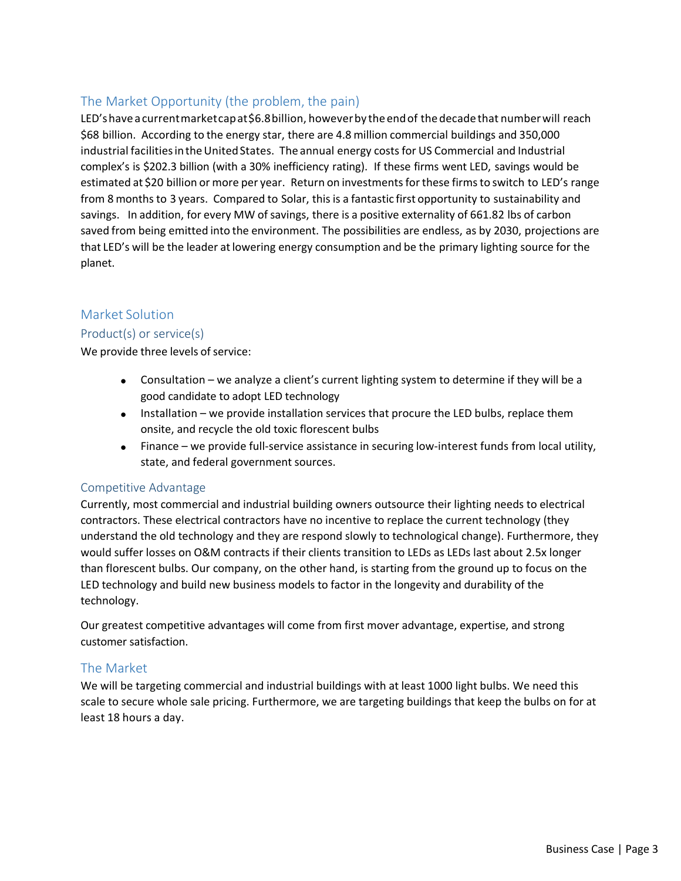# The Market Opportunity (the problem, the pain)

LED's have a current market capat \$6.8 billion, however by the end of the decade that number will reach \$68 billion. According to the energy star, there are 4.8 million commercial buildings and 350,000 industrial facilitiesintheUnitedStates. The annual energy costs for US Commercial and Industrial complex's is \$202.3 billion (with a 30% inefficiency rating). If these firms went LED, savings would be estimated at \$20 billion or more per year. Return on investments for these firms to switch to LED's range from 8 months to 3 years. Compared to Solar, this is a fantastic first opportunity to sustainability and savings. In addition, for every MW of savings, there is a positive externality of 661.82 lbs of carbon saved from being emitted into the environment. The possibilities are endless, as by 2030, projections are that LED's will be the leader atlowering energy consumption and be the primary lighting source for the planet.

# Market Solution

## Product(s) or service(s)

We provide three levels of service:

- Consultation we analyze a client's current lighting system to determine if they will be a good candidate to adopt LED technology
- Installation we provide installation services that procure the LED bulbs, replace them onsite, and recycle the old toxic florescent bulbs
- Finance we provide full-service assistance in securing low-interest funds from local utility, state, and federal government sources.

## Competitive Advantage

Currently, most commercial and industrial building owners outsource their lighting needs to electrical contractors. These electrical contractors have no incentive to replace the current technology (they understand the old technology and they are respond slowly to technological change). Furthermore, they would suffer losses on O&M contracts if their clients transition to LEDs as LEDs last about 2.5x longer than florescent bulbs. Our company, on the other hand, is starting from the ground up to focus on the LED technology and build new business models to factor in the longevity and durability of the technology.

Our greatest competitive advantages will come from first mover advantage, expertise, and strong customer satisfaction.

# The Market

We will be targeting commercial and industrial buildings with at least 1000 light bulbs. We need this scale to secure whole sale pricing. Furthermore, we are targeting buildings that keep the bulbs on for at least 18 hours a day.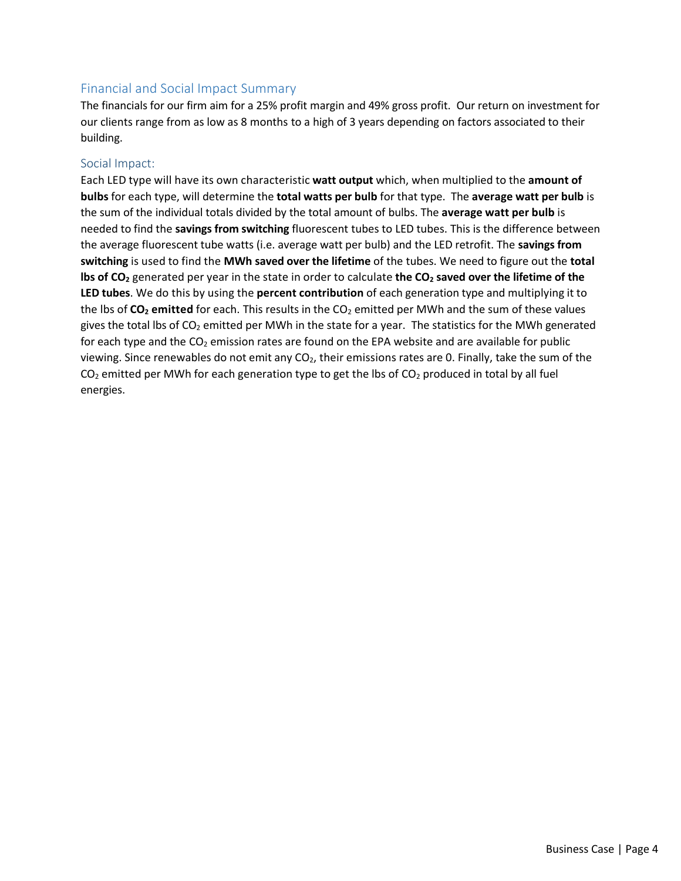# Financial and Social Impact Summary

The financials for our firm aim for a 25% profit margin and 49% gross profit. Our return on investment for our clients range from as low as 8 months to a high of 3 years depending on factors associated to their building.

#### Social Impact:

Each LED type will have its own characteristic **watt output** which, when multiplied to the **amount of bulbs** for each type, will determine the **total watts per bulb** for that type. The **average watt per bulb** is the sum of the individual totals divided by the total amount of bulbs. The **average watt per bulb** is needed to find the **savings from switching** fluorescent tubes to LED tubes. This is the difference between the average fluorescent tube watts (i.e. average watt per bulb) and the LED retrofit. The **savings from switching** is used to find the **MWh saved over the lifetime** of the tubes. We need to figure out the **total lbs of CO<sup>2</sup>** generated per year in the state in order to calculate **the CO<sup>2</sup> saved over the lifetime of the LED tubes**. We do this by using the **percent contribution** of each generation type and multiplying it to the lbs of **CO<sup>2</sup> emitted** for each. This results in the CO<sup>2</sup> emitted per MWh and the sum of these values gives the total lbs of  $CO<sub>2</sub>$  emitted per MWh in the state for a year. The statistics for the MWh generated for each type and the  $CO<sub>2</sub>$  emission rates are found on the EPA website and are available for public viewing. Since renewables do not emit any  $CO<sub>2</sub>$ , their emissions rates are 0. Finally, take the sum of the  $CO<sub>2</sub>$  emitted per MWh for each generation type to get the lbs of  $CO<sub>2</sub>$  produced in total by all fuel energies.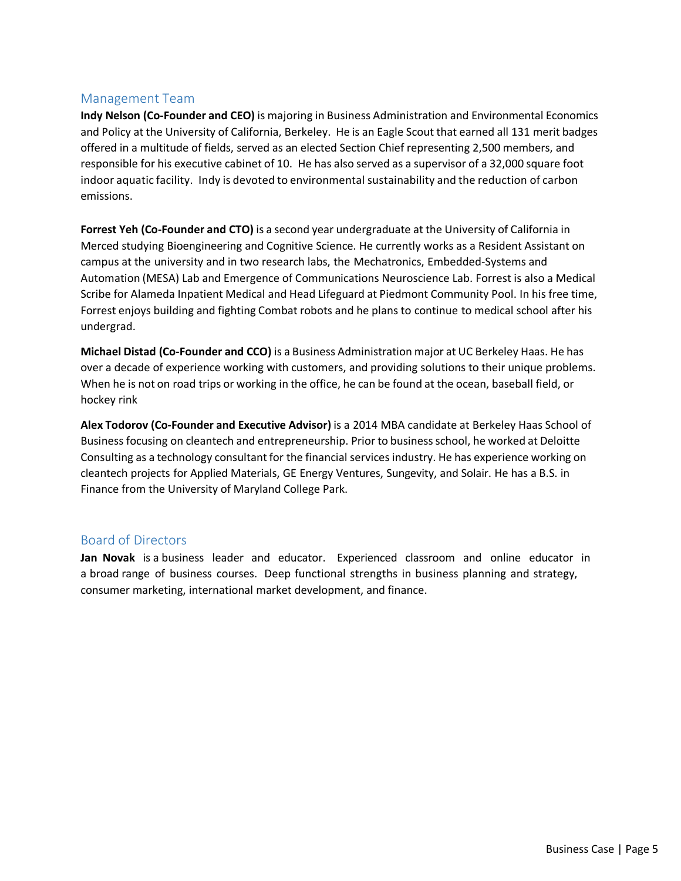#### Management Team

**Indy Nelson (Co-Founder and CEO)** is majoring in Business Administration and Environmental Economics and Policy at the University of California, Berkeley. He is an Eagle Scout that earned all 131 merit badges offered in a multitude of fields, served as an elected Section Chief representing 2,500 members, and responsible for his executive cabinet of 10. He has also served as a supervisor of a 32,000 square foot indoor aquatic facility. Indy is devoted to environmental sustainability and the reduction of carbon emissions.

**Forrest Yeh (Co-Founder and CTO)** is a second year undergraduate at the University of California in Merced studying Bioengineering and Cognitive Science. He currently works as a Resident Assistant on campus at the university and in two research labs, the Mechatronics, Embedded-Systems and Automation (MESA) Lab and Emergence of Communications Neuroscience Lab. Forrest is also a Medical Scribe for Alameda Inpatient Medical and Head Lifeguard at Piedmont Community Pool. In his free time, Forrest enjoys building and fighting Combat robots and he plans to continue to medical school after his undergrad.

**Michael Distad (Co-Founder and CCO)** is a Business Administration major at UC Berkeley Haas. He has over a decade of experience working with customers, and providing solutions to their unique problems. When he is not on road trips or working in the office, he can be found at the ocean, baseball field, or hockey rink

**Alex Todorov (Co-Founder and Executive Advisor)** is a 2014 MBA candidate at Berkeley Haas School of Business focusing on cleantech and entrepreneurship. Prior to businessschool, he worked at Deloitte Consulting as a technology consultant for the financial servicesindustry. He has experience working on cleantech projects for Applied Materials, GE Energy Ventures, Sungevity, and Solair. He has a B.S. in Finance from the University of Maryland College Park.

## Board of Directors

**Jan Novak** is a business leader and educator. Experienced classroom and online educator in a broad range of business courses. Deep functional strengths in business planning and strategy, consumer marketing, international market development, and finance.